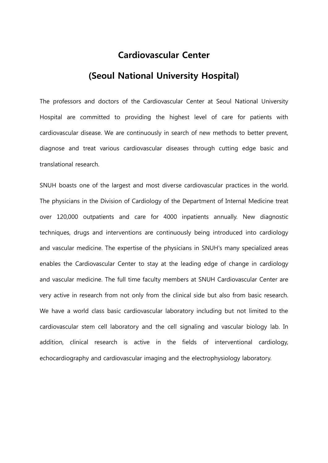# Cardiovascular Center (Seoul National University Hospital)

The professors and doctors of the Cardiovascular Center at Seoul National University Hospital are committed to providing the highest level of care for patients with cardiovascular disease. We are continuously in search of new methods to better prevent, diagnose and treat various cardiovascular diseases through cutting edge basic and translational research.

SNUH boasts one of the largest and most diverse cardiovascular practices in the world. The physicians in the Division of Cardiology of the Department of Internal Medicine treat over 120,000 outpatients and care for 4000 inpatients annually. New diagnostic techniques, drugs and interventions are continuously being introduced into cardiology and vascular medicine. The expertise of the physicians in SNUH's many specialized areas enables the Cardiovascular Center to stay at the leading edge of change in cardiology and vascular medicine. The full time faculty members at SNUH Cardiovascular Center are very active in research from not only from the clinical side but also from basic research. We have a world class basic cardiovascular laboratory including but not limited to the cardiovascular stem cell laboratory and the cell signaling and vascular biology lab. In addition, clinical research is active in the fields of interventional cardiology, echocardiography and cardiovascular imaging and the electrophysiology laboratory.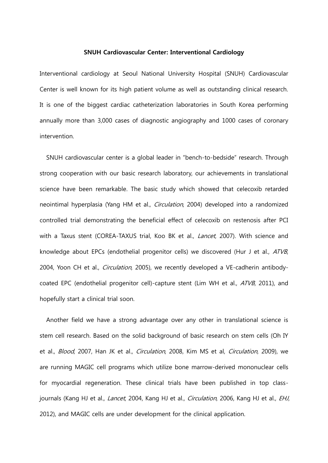## SNUH Cardiovascular Center: Interventional Cardiology

Interventional cardiology at Seoul National University Hospital (SNUH) Cardiovascular Center is well known for its high patient volume as well as outstanding clinical research. It is one of the biggest cardiac catheterization laboratories in South Korea performing annually more than 3,000 cases of diagnostic angiography and 1000 cases of coronary intervention.

SNUH cardiovascular center is a global leader in "bench-to-bedside" research. Through strong cooperation with our basic research laboratory, our achievements in translational science have been remarkable. The basic study which showed that celecoxib retarded neointimal hyperplasia (Yang HM et al., *Circulation*, 2004) developed into a randomized controlled trial demonstrating the beneficial effect of celecoxib on restenosis after PCI with a Taxus stent (COREA-TAXUS trial, Koo BK et al., *Lancet*, 2007). With science and knowledge about EPCs (endothelial progenitor cells) we discovered (Hur J et al., ATVB, 2004, Yoon CH et al., *Circulation*, 2005), we recently developed a VE-cadherin antibodycoated EPC (endothelial progenitor cell)-capture stent (Lim WH et al., ATVB, 2011), and hopefully start a clinical trial soon.

Another field we have a strong advantage over any other in translational science is stem cell research. Based on the solid background of basic research on stem cells (Oh IY et al., Blood, 2007, Han JK et al., Circulation, 2008, Kim MS et al, Circulation, 2009), we are running MAGIC cell programs which utilize bone marrow-derived mononuclear cells for myocardial regeneration. These clinical trials have been published in top classjournals (Kang HJ et al., *Lancet*, 2004, Kang HJ et al., *Circulation*, 2006, Kang HJ et al., *EHJ*, 2012), and MAGIC cells are under development for the clinical application.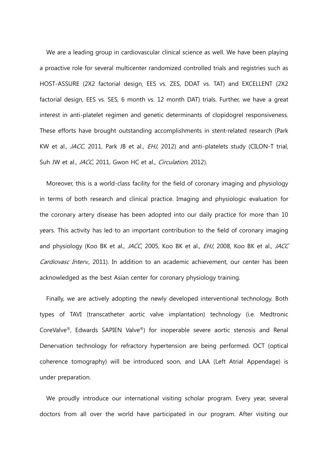We are a leading group in cardiovascular clinical science as well. We have been playing a proactive role for several multicenter randomized controlled trials and registries such as HOST-ASSURE (2X2 factorial design, EES vs. ZES, DDAT vs. TAT) and EXCELLENT (2X2 factorial design, EES vs. SES, 6 month vs. 12 month DAT) trials. Further, we have a great interest in anti-platelet regimen and genetic determinants of clopidogrel responsiveness. These efforts have brought outstanding accomplishments in stent-related research (Park KW et al., JACC, 2011, Park JB et al., EHJ, 2012) and anti-platelets study (CILON-T trial, Suh JW et al., *JACC*, 2011, Gwon HC et al., *Circulation*, 2012).

Moreover, this is a world-class facility for the field of coronary imaging and physiology in terms of both research and clinical practice. Imaging and physiologic evaluation for the coronary artery disease has been adopted into our daily practice for more than 10 years. This activity has led to an important contribution to the field of coronary imaging and physiology (Koo BK et al., JACC, 2005, Koo BK et al., EHJ, 2008, Koo BK et al., JACC Cardiovasc Interv., 2011). In addition to an academic achievement, our center has been acknowledged as the best Asian center for coronary physiology training.

Finally, we are actively adopting the newly developed interventional technology. Both types of TAVI (transcatheter aortic valve implantation) technology (i.e. Medtronic CoreValve®, Edwards SAPIEN Valve®) for inoperable severe aortic stenosis and Renal Denervation technology for refractory hypertension are being performed. OCT (optical coherence tomography) will be introduced soon, and LAA (Left Atrial Appendage) is under preparation.

We proudly introduce our international visiting scholar program. Every year, several doctors from all over the world have participated in our program. After visiting our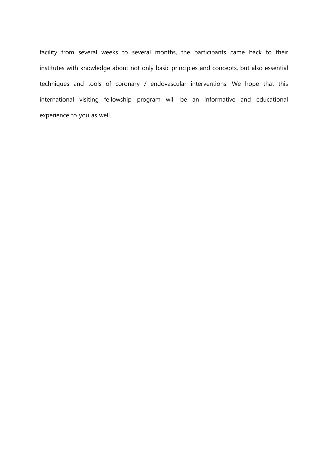facility from several weeks to several months, the participants came back to their institutes with knowledge about not only basic principles and concepts, but also essential techniques and tools of coronary / endovascular interventions. We hope that this international visiting fellowship program will be an informative and educational experience to you as well.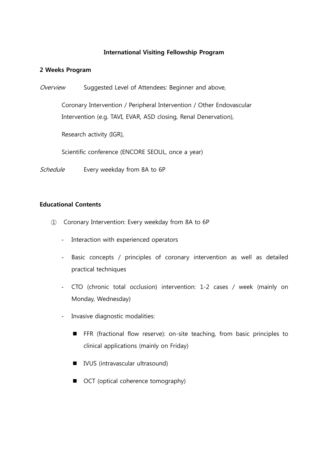# International Visiting Fellowship Program

# 2 Weeks Program

Overview Suggested Level of Attendees: Beginner and above,

Coronary Intervention / Peripheral Intervention / Other Endovascular Intervention (e.g. TAVI, EVAR, ASD closing, Renal Denervation),

Research activity (IGR),

Scientific conference (ENCORE SEOUL, once a year)

Schedule Every weekday from 8A to 6P

# Educational Contents

- ① Coronary Intervention: Every weekday from 8A to 6P
	- Interaction with experienced operators
	- Basic concepts / principles of coronary intervention as well as detailed practical techniques
	- CTO (chronic total occlusion) intervention: 1-2 cases / week (mainly on Monday, Wednesday)
	- Invasive diagnostic modalities:
		- **FFR** (fractional flow reserve): on-site teaching, from basic principles to clinical applications (mainly on Friday)
		- **I** IVUS (intravascular ultrasound)
		- OCT (optical coherence tomography)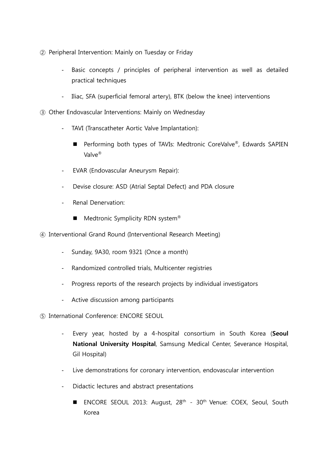- ② Peripheral Intervention: Mainly on Tuesday or Friday
	- Basic concepts / principles of peripheral intervention as well as detailed practical techniques
	- Iliac, SFA (superficial femoral artery), BTK (below the knee) interventions
- ③ Other Endovascular Interventions: Mainly on Wednesday
	- TAVI (Transcatheter Aortic Valve Implantation):
		- Performing both types of TAVIs: Medtronic CoreValve®, Edwards SAPIEN Valve®
	- EVAR (Endovascular Aneurysm Repair):
	- Devise closure: ASD (Atrial Septal Defect) and PDA closure
	- Renal Denervation:
		- $\blacksquare$  Medtronic Symplicity RDN system<sup>®</sup>
- ④ Interventional Grand Round (Interventional Research Meeting)
	- Sunday, 9A30, room 9321 (Once a month)
	- Randomized controlled trials, Multicenter registries
	- Progress reports of the research projects by individual investigators
	- Active discussion among participants
- ⑤ International Conference: ENCORE SEOUL
	- Every year, hosted by a 4-hospital consortium in South Korea (Seoul National University Hospital, Samsung Medical Center, Severance Hospital, Gil Hospital)
	- Live demonstrations for coronary intervention, endovascular intervention
	- Didactic lectures and abstract presentations
		- ENCORE SEOUL 2013: August,  $28<sup>th</sup> 30<sup>th</sup>$  Venue: COEX, Seoul, South Korea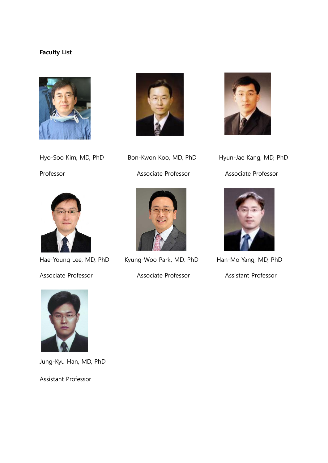# Faculty List



Professor **Associate Professor** Associate Professor Associate Professor







Hae-Young Lee, MD, PhD Kyung-Woo Park, MD, PhD Han-Mo Yang, MD, PhD

Associate Professor Associate Professor Assistant Professor



Hyo-Soo Kim, MD, PhD Bon-Kwon Koo, MD, PhD Hyun-Jae Kang, MD, PhD





Jung-Kyu Han, MD, PhD

Assistant Professor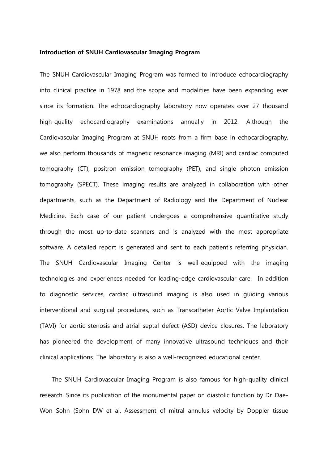#### Introduction of SNUH Cardiovascular Imaging Program

The SNUH Cardiovascular Imaging Program was formed to introduce echocardiography into clinical practice in 1978 and the scope and modalities have been expanding ever since its formation. The echocardiography laboratory now operates over 27 thousand high-quality echocardiography examinations annually in 2012. Although the Cardiovascular Imaging Program at SNUH roots from a firm base in echocardiography, we also perform thousands of magnetic resonance imaging (MRI) and cardiac computed tomography (CT), positron emission tomography (PET), and single photon emission tomography (SPECT). These imaging results are analyzed in collaboration with other departments, such as the Department of Radiology and the Department of Nuclear Medicine. Each case of our patient undergoes a comprehensive quantitative study through the most up-to-date scanners and is analyzed with the most appropriate software. A detailed report is generated and sent to each patient's referring physician. The SNUH Cardiovascular Imaging Center is well-equipped with the imaging technologies and experiences needed for leading-edge cardiovascular care. In addition to diagnostic services, cardiac ultrasound imaging is also used in guiding various interventional and surgical procedures, such as Transcatheter Aortic Valve Implantation (TAVI) for aortic stenosis and atrial septal defect (ASD) device closures. The laboratory has pioneered the development of many innovative ultrasound techniques and their clinical applications. The laboratory is also a well-recognized educational center.

The SNUH Cardiovascular Imaging Program is also famous for high-quality clinical research. Since its publication of the monumental paper on diastolic function by Dr. Dae-Won Sohn (Sohn DW et al. Assessment of mitral annulus velocity by Doppler tissue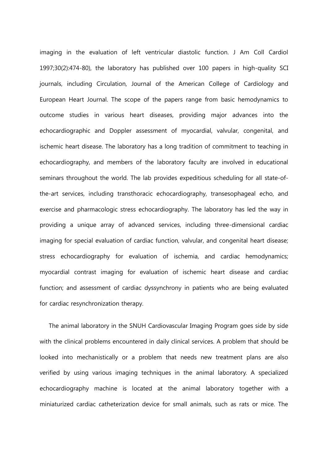imaging in the evaluation of left ventricular diastolic function. J Am Coll Cardiol 1997;30(2):474-80), the laboratory has published over 100 papers in high-quality SCI journals, including Circulation, Journal of the American College of Cardiology and European Heart Journal. The scope of the papers range from basic hemodynamics to outcome studies in various heart diseases, providing major advances into the echocardiographic and Doppler assessment of myocardial, valvular, congenital, and ischemic heart disease. The laboratory has a long tradition of commitment to teaching in echocardiography, and members of the laboratory faculty are involved in educational seminars throughout the world. The lab provides expeditious scheduling for all state-ofthe-art services, including transthoracic echocardiography, transesophageal echo, and exercise and pharmacologic stress echocardiography. The laboratory has led the way in providing a unique array of advanced services, including three-dimensional cardiac imaging for special evaluation of cardiac function, valvular, and congenital heart disease; stress echocardiography for evaluation of ischemia, and cardiac hemodynamics; myocardial contrast imaging for evaluation of ischemic heart disease and cardiac function; and assessment of cardiac dyssynchrony in patients who are being evaluated for cardiac resynchronization therapy.

 The animal laboratory in the SNUH Cardiovascular Imaging Program goes side by side with the clinical problems encountered in daily clinical services. A problem that should be looked into mechanistically or a problem that needs new treatment plans are also verified by using various imaging techniques in the animal laboratory. A specialized echocardiography machine is located at the animal laboratory together with a miniaturized cardiac catheterization device for small animals, such as rats or mice. The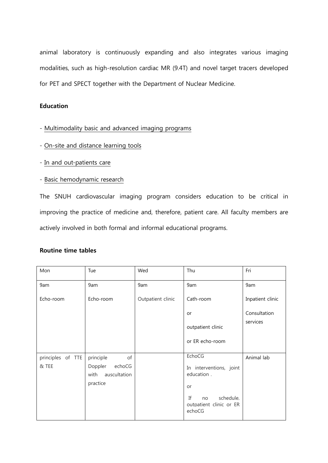animal laboratory is continuously expanding and also integrates various imaging modalities, such as high-resolution cardiac MR (9.4T) and novel target tracers developed for PET and SPECT together with the Department of Nuclear Medicine.

# **Education**

- Multimodality basic and advanced imaging programs

- On-site and distance learning tools
- In and out-patients care

# - Basic hemodynamic research

The SNUH cardiovascular imaging program considers education to be critical in improving the practice of medicine and, therefore, patient care. All faculty members are actively involved in both formal and informal educational programs.

| Mon               | Tue                                                   | Wed               | Thu                                                        | Fri              |
|-------------------|-------------------------------------------------------|-------------------|------------------------------------------------------------|------------------|
| 9am               | 9am                                                   | 9am               | 9am                                                        | 9am              |
| Echo-room         | Echo-room                                             | Outpatient clinic | Cath-room                                                  | Inpatient clinic |
|                   |                                                       |                   | <b>or</b>                                                  | Consultation     |
|                   |                                                       |                   | outpatient clinic                                          | services         |
|                   |                                                       |                   | or ER echo-room                                            |                  |
| principles of TTE | principle<br>of                                       |                   | <b>EchoCG</b>                                              | Animal lab       |
| & TEE             | Doppler<br>echoCG<br>auscultation<br>with<br>practice |                   | In interventions, joint<br>education.<br>or                |                  |
|                   |                                                       |                   | schedule.<br>Ιf<br>no<br>outpatient clinic or ER<br>echoCG |                  |

# Routine time tables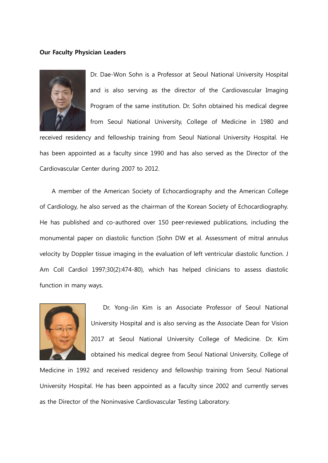#### Our Faculty Physician Leaders



Dr. Dae-Won Sohn is a Professor at Seoul National University Hospital and is also serving as the director of the Cardiovascular Imaging Program of the same institution. Dr. Sohn obtained his medical degree from Seoul National University, College of Medicine in 1980 and

received residency and fellowship training from Seoul National University Hospital. He has been appointed as a faculty since 1990 and has also served as the Director of the Cardiovascular Center during 2007 to 2012.

A member of the American Society of Echocardiography and the American College of Cardiology, he also served as the chairman of the Korean Society of Echocardiography. He has published and co-authored over 150 peer-reviewed publications, including the monumental paper on diastolic function (Sohn DW et al. Assessment of mitral annulus velocity by Doppler tissue imaging in the evaluation of left ventricular diastolic function. J Am Coll Cardiol 1997;30(2):474-80), which has helped clinicians to assess diastolic function in many ways.



Dr. Yong-Jin Kim is an Associate Professor of Seoul National University Hospital and is also serving as the Associate Dean for Vision 2017 at Seoul National University College of Medicine. Dr. Kim obtained his medical degree from Seoul National University, College of

Medicine in 1992 and received residency and fellowship training from Seoul National University Hospital. He has been appointed as a faculty since 2002 and currently serves as the Director of the Noninvasive Cardiovascular Testing Laboratory.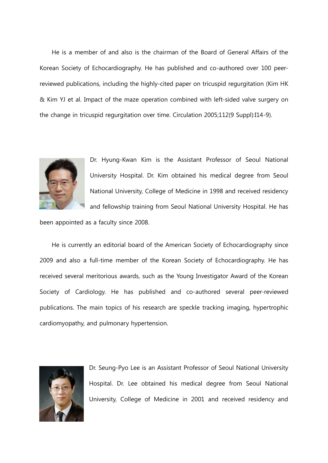He is a member of and also is the chairman of the Board of General Affairs of the Korean Society of Echocardiography. He has published and co-authored over 100 peerreviewed publications, including the highly-cited paper on tricuspid regurgitation (Kim HK & Kim YJ et al. Impact of the maze operation combined with left-sided valve surgery on the change in tricuspid regurgitation over time. Circulation 2005;112(9 Suppl):I14-9).



Dr. Hyung-Kwan Kim is the Assistant Professor of Seoul National University Hospital. Dr. Kim obtained his medical degree from Seoul National University, College of Medicine in 1998 and received residency and fellowship training from Seoul National University Hospital. He has

been appointed as a faculty since 2008.

He is currently an editorial board of the American Society of Echocardiography since 2009 and also a full-time member of the Korean Society of Echocardiography. He has received several meritorious awards, such as the Young Investigator Award of the Korean Society of Cardiology. He has published and co-authored several peer-reviewed publications. The main topics of his research are speckle tracking imaging, hypertrophic cardiomyopathy, and pulmonary hypertension.



Dr. Seung-Pyo Lee is an Assistant Professor of Seoul National University Hospital. Dr. Lee obtained his medical degree from Seoul National University, College of Medicine in 2001 and received residency and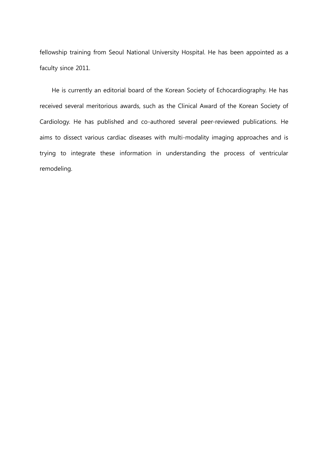fellowship training from Seoul National University Hospital. He has been appointed as a faculty since 2011.

He is currently an editorial board of the Korean Society of Echocardiography. He has received several meritorious awards, such as the Clinical Award of the Korean Society of Cardiology. He has published and co-authored several peer-reviewed publications. He aims to dissect various cardiac diseases with multi-modality imaging approaches and is trying to integrate these information in understanding the process of ventricular remodeling.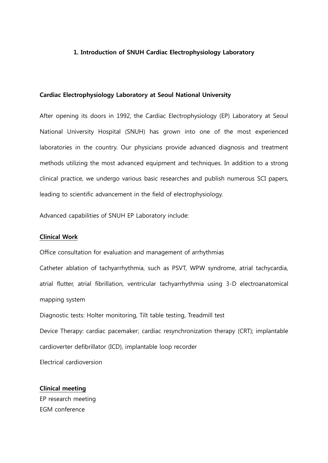#### 1. Introduction of SNUH Cardiac Electrophysiology Laboratory

#### Cardiac Electrophysiology Laboratory at Seoul National University

After opening its doors in 1992, the Cardiac Electrophysiology (EP) Laboratory at Seoul National University Hospital (SNUH) has grown into one of the most experienced laboratories in the country. Our physicians provide advanced diagnosis and treatment methods utilizing the most advanced equipment and techniques. In addition to a strong clinical practice, we undergo various basic researches and publish numerous SCI papers, leading to scientific advancement in the field of electrophysiology.

Advanced capabilities of SNUH EP Laboratory include:

#### Clinical Work

Office consultation for evaluation and management of arrhythmias

Catheter ablation of tachyarrhythmia, such as PSVT, WPW syndrome, atrial tachycardia, atrial flutter, atrial fibrillation, ventricular tachyarrhythmia using 3-D electroanatomical mapping system

Diagnostic tests: Holter monitoring, Tilt table testing, Treadmill test Device Therapy: cardiac pacemaker; cardiac resynchronization therapy (CRT); implantable cardioverter defibrillator (ICD), implantable loop recorder Electrical cardioversion

# Clinical meeting

EP research meeting EGM conference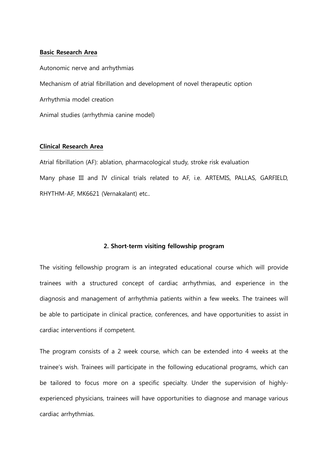#### Basic Research Area

Autonomic nerve and arrhythmias Mechanism of atrial fibrillation and development of novel therapeutic option Arrhythmia model creation Animal studies (arrhythmia canine model)

#### Clinical Research Area

Atrial fibrillation (AF): ablation, pharmacological study, stroke risk evaluation Many phase III and IV clinical trials related to AF, i.e. ARTEMIS, PALLAS, GARFIELD, RHYTHM-AF, MK6621 (Vernakalant) etc..

#### 2. Short-term visiting fellowship program

The visiting fellowship program is an integrated educational course which will provide trainees with a structured concept of cardiac arrhythmias, and experience in the diagnosis and management of arrhythmia patients within a few weeks. The trainees will be able to participate in clinical practice, conferences, and have opportunities to assist in cardiac interventions if competent.

The program consists of a 2 week course, which can be extended into 4 weeks at the trainee's wish. Trainees will participate in the following educational programs, which can be tailored to focus more on a specific specialty. Under the supervision of highlyexperienced physicians, trainees will have opportunities to diagnose and manage various cardiac arrhythmias.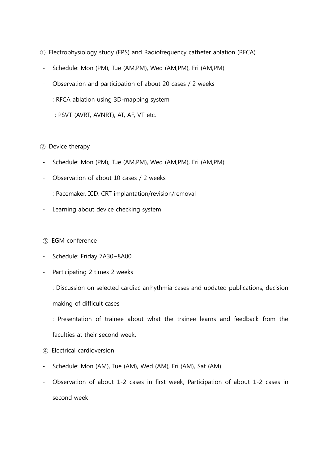- ① Electrophysiology study (EPS) and Radiofrequency catheter ablation (RFCA)
- Schedule: Mon (PM), Tue (AM,PM), Wed (AM,PM), Fri (AM,PM)
- Observation and participation of about 20 cases / 2 weeks
	- : RFCA ablation using 3D-mapping system
	- : PSVT (AVRT, AVNRT), AT, AF, VT etc.

#### ② Device therapy

- Schedule: Mon (PM), Tue (AM,PM), Wed (AM,PM), Fri (AM,PM)
- Observation of about 10 cases / 2 weeks
	- : Pacemaker, ICD, CRT implantation/revision/removal
- Learning about device checking system

#### ③ EGM conference

- Schedule: Friday 7A30~8A00
- Participating 2 times 2 weeks

: Discussion on selected cardiac arrhythmia cases and updated publications, decision making of difficult cases

: Presentation of trainee about what the trainee learns and feedback from the faculties at their second week.

- ④ Electrical cardioversion
- Schedule: Mon (AM), Tue (AM), Wed (AM), Fri (AM), Sat (AM)
- Observation of about 1-2 cases in first week, Participation of about 1-2 cases in second week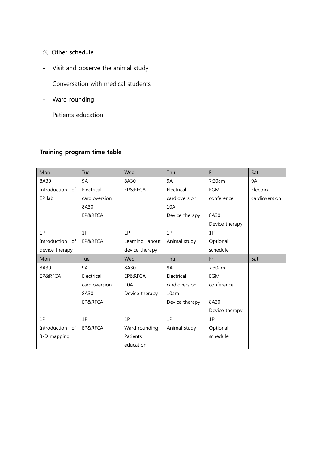- ⑤ Other schedule
- Visit and observe the animal study
- Conversation with medical students
- Ward rounding
- Patients education

# Training program time table

| Mon             | Tue           | Wed            | Thu            | Fri            | Sat           |
|-----------------|---------------|----------------|----------------|----------------|---------------|
| 8A30            | <b>9A</b>     | 8A30           | <b>9A</b>      | 7:30am         | <b>9A</b>     |
| Introduction of | Electrical    | EP&RFCA        | Electrical     | EGM            | Electrical    |
| EP lab.         | cardioversion |                | cardioversion  | conference     | cardioversion |
|                 | 8A30          |                | 10A            |                |               |
|                 | EP&RFCA       |                | Device therapy | 8A30           |               |
|                 |               |                |                | Device therapy |               |
| 1P              | 1P            | 1P             | 1P             | 1P             |               |
| Introduction of | EP&RFCA       | Learning about | Animal study   | Optional       |               |
| device therapy  |               | device therapy |                | schedule       |               |
| Mon             | Tue           | Wed            | Thu            | Fri            | Sat           |
| 8A30            | <b>9A</b>     | 8A30           | <b>9A</b>      | 7:30am         |               |
| EP&RFCA         | Electrical    | EP&RFCA        | Electrical     | <b>EGM</b>     |               |
|                 | cardioversion | 10A            | cardioversion  | conference     |               |
|                 | 8A30          | Device therapy | 10am           |                |               |
|                 | EP&RFCA       |                | Device therapy | 8A30           |               |
|                 |               |                |                | Device therapy |               |
| 1P              | 1P            | 1P             | 1P             | 1P             |               |
| Introduction of | EP&RFCA       | Ward rounding  | Animal study   | Optional       |               |
| 3-D mapping     |               | Patients       |                | schedule       |               |
|                 |               | education      |                |                |               |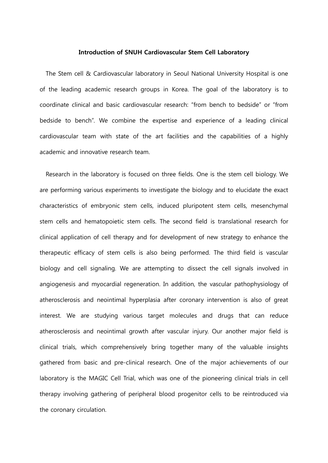#### Introduction of SNUH Cardiovascular Stem Cell Laboratory

The Stem cell & Cardiovascular laboratory in Seoul National University Hospital is one of the leading academic research groups in Korea. The goal of the laboratory is to coordinate clinical and basic cardiovascular research: "from bench to bedside" or "from bedside to bench". We combine the expertise and experience of a leading clinical cardiovascular team with state of the art facilities and the capabilities of a highly academic and innovative research team.

Research in the laboratory is focused on three fields. One is the stem cell biology. We are performing various experiments to investigate the biology and to elucidate the exact characteristics of embryonic stem cells, induced pluripotent stem cells, mesenchymal stem cells and hematopoietic stem cells. The second field is translational research for clinical application of cell therapy and for development of new strategy to enhance the therapeutic efficacy of stem cells is also being performed. The third field is vascular biology and cell signaling. We are attempting to dissect the cell signals involved in angiogenesis and myocardial regeneration. In addition, the vascular pathophysiology of atherosclerosis and neointimal hyperplasia after coronary intervention is also of great interest. We are studying various target molecules and drugs that can reduce atherosclerosis and neointimal growth after vascular injury. Our another major field is clinical trials, which comprehensively bring together many of the valuable insights gathered from basic and pre-clinical research. One of the major achievements of our laboratory is the MAGIC Cell Trial, which was one of the pioneering clinical trials in cell therapy involving gathering of peripheral blood progenitor cells to be reintroduced via the coronary circulation.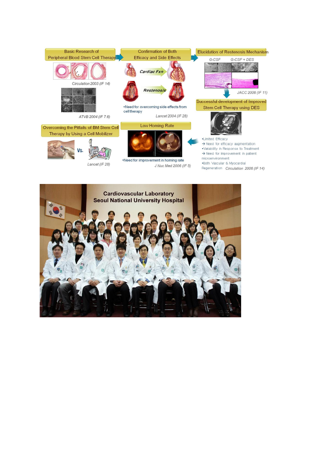

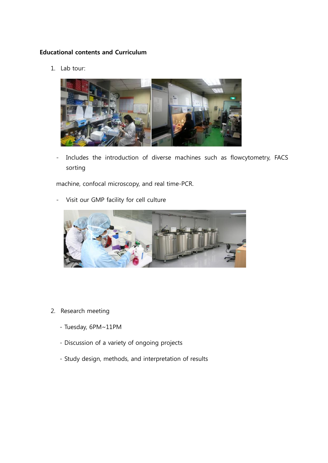# Educational contents and Curriculum

1. Lab tour:



Includes the introduction of diverse machines such as flowcytometry, FACS sorting

machine, confocal microscopy, and real time-PCR.

Visit our GMP facility for cell culture



- 2. Research meeting
	- Tuesday, 6PM~11PM
	- Discussion of a variety of ongoing projects
	- Study design, methods, and interpretation of results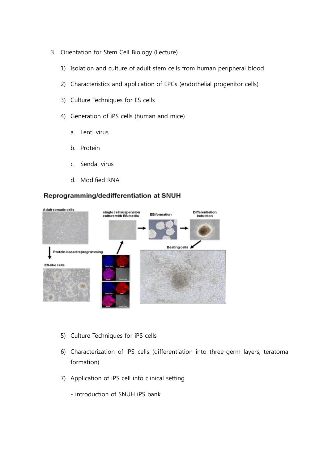- 3. Orientation for Stem Cell Biology (Lecture)
	- 1) Isolation and culture of adult stem cells from human peripheral blood
	- 2) Characteristics and application of EPCs (endothelial progenitor cells)
	- 3) Culture Techniques for ES cells
	- 4) Generation of iPS cells (human and mice)
		- a. Lenti virus
		- b. Protein
		- c. Sendai virus
		- d. Modified RNA

# Reprogramming/dedifferentiation at SNUH



- 5) Culture Techniques for iPS cells
- 6) Characterization of iPS cells (differentiation into three-germ layers, teratoma formation)
- 7) Application of iPS cell into clinical setting
	- introduction of SNUH iPS bank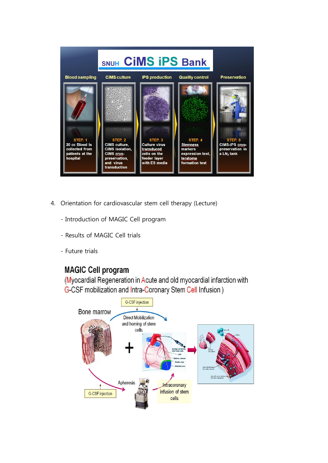

- 4. Orientation for cardiovascular stem cell therapy (Lecture)
	- Introduction of MAGIC Cell program
	- Results of MAGIC Cell trials
	- Future trials

# **MAGIC Cell program**

(Myocardial Regeneration in Acute and old myocardial infarction with G-CSF mobilization and Intra-Coronary Stem Cell Infusion)